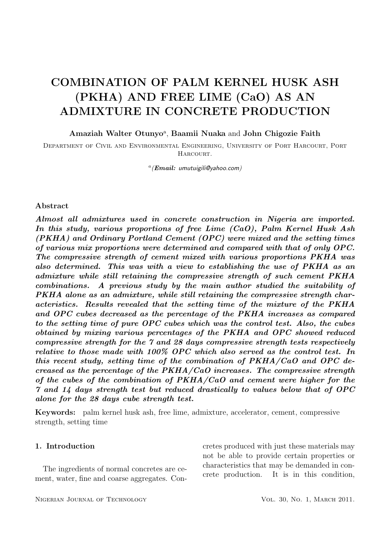### COMBINATION OF PALM KERNEL HUSK ASH (PKHA) AND FREE LIME (CaO) AS AN ADMIXTURE IN CONCRETE PRODUCTION

Amaziah Walter Otunyo<sup>a</sup>, Baamii Nuaka and John Chigozie Faith

Department of Civil and Environmental Engineering, University of Port Harcourt, Port HARCOURT.

 $a(Email:$  umutuigili@yahoo.com)

#### Abstract

Almost all admixtures used in concrete construction in Nigeria are imported. In this study, various proportions of free Lime (CaO), Palm Kernel Husk Ash (PKHA) and Ordinary Portland Cement (OPC) were mixed and the setting times of various mix proportions were determined and compared with that of only OPC. The compressive strength of cement mixed with various proportions PKHA was also determined. This was with a view to establishing the use of PKHA as an admixture while still retaining the compressive strength of such cement PKHA combinations. A previous study by the main author studied the suitability of PKHA alone as an admixture, while still retaining the compressive strength characteristics. Results revealed that the setting time of the mixture of the PKHA and OPC cubes decreased as the percentage of the PKHA increases as compared to the setting time of pure OPC cubes which was the control test. Also, the cubes obtained by mixing various percentages of the PKHA and OPC showed reduced compressive strength for the 7 and 28 days compressive strength tests respectively relative to those made with 100% OPC which also served as the control test. In this recent study, setting time of the combination of PKHA/CaO and OPC decreased as the percentage of the PKHA/CaO increases. The compressive strength of the cubes of the combination of PKHA/CaO and cement were higher for the 7 and 14 days strength test but reduced drastically to values below that of OPC alone for the 28 days cube strength test.

Keywords: palm kernel husk ash, free lime, admixture, accelerator, cement, compressive strength, setting time

#### 1. Introduction

The ingredients of normal concretes are cement, water, fine and coarse aggregates. Concretes produced with just these materials may not be able to provide certain properties or characteristics that may be demanded in concrete production. It is in this condition,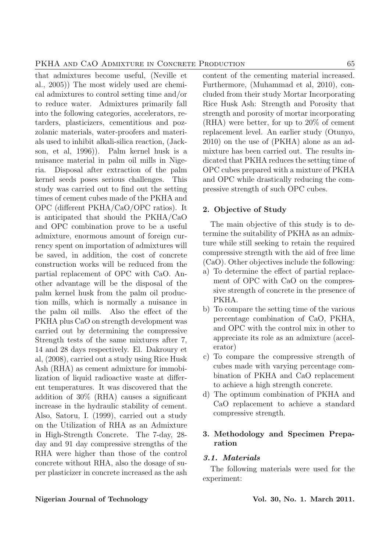that admixtures become useful, (Neville et al., 2005)) The most widely used are chemical admixtures to control setting time and/or to reduce water. Admixtures primarily fall into the following categories, accelerators, retarders, plasticizers, cementitious and pozzolanic materials, water-proofers and materials used to inhibit alkali-silica reaction, (Jackson, et al, 1996)). Palm kernel husk is a nuisance material in palm oil mills in Nigeria. Disposal after extraction of the palm kernel seeds poses serious challenges. This study was carried out to find out the setting times of cement cubes made of the PKHA and OPC (different PKHA/CaO/OPC ratios). It is anticipated that should the PKHA/CaO and OPC combination prove to be a useful admixture, enormous amount of foreign currency spent on importation of admixtures will be saved, in addition, the cost of concrete construction works will be reduced from the partial replacement of OPC with CaO. Another advantage will be the disposal of the palm kernel husk from the palm oil production mills, which is normally a nuisance in the palm oil mills. Also the effect of the PKHA plus CaO on strength development was carried out by determining the compressive Strength tests of the same mixtures after 7, 14 and 28 days respectively. El. Dakroury et al, (2008), carried out a study using Rice Husk Ash (RHA) as cement admixture for immobilization of liquid radioactive waste at different temperatures. It was discovered that the addition of 30% (RHA) causes a significant increase in the hydraulic stability of cement. Also, Satoru, I. (1999), carried out a study on the Utilization of RHA as an Admixture in High-Strength Concrete. The 7-day, 28 day and 91 day compressive strengths of the RHA were higher than those of the control concrete without RHA, also the dosage of super plasticizer in concrete increased as the ash content of the cementing material increased. Furthermore, (Muhammad et al, 2010), concluded from their study Mortar Incorporating Rice Husk Ash: Strength and Porosity that strength and porosity of mortar incorporating (RHA) were better, for up to 20% of cement replacement level. An earlier study (Otunyo, 2010) on the use of (PKHA) alone as an admixture has been carried out. The results indicated that PKHA reduces the setting time of OPC cubes prepared with a mixture of PKHA and OPC while drastically reducing the compressive strength of such OPC cubes.

#### 2. Objective of Study

The main objective of this study is to determine the suitability of PKHA as an admixture while still seeking to retain the required compressive strength with the aid of free lime (CaO). Other objectives include the following:

- a) To determine the effect of partial replacement of OPC with CaO on the compressive strength of concrete in the presence of PKHA.
- b) To compare the setting time of the various percentage combination of CaO, PKHA, and OPC with the control mix in other to appreciate its role as an admixture (accelerator)
- c) To compare the compressive strength of cubes made with varying percentage combination of PKHA and CaO replacement to achieve a high strength concrete.
- d) The optimum combination of PKHA and CaO replacement to achieve a standard compressive strength.

#### 3. Methodology and Specimen Preparation

#### 3.1. Materials

The following materials were used for the experiment: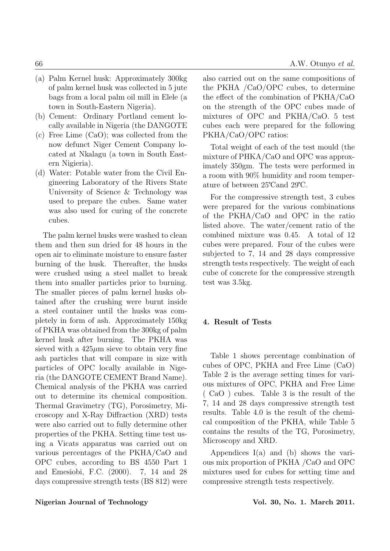- (a) Palm Kernel husk: Approximately 300kg of palm kernel husk was collected in 5 jute bags from a local palm oil mill in Elele (a town in South-Eastern Nigeria).
- (b) Cement: Ordinary Portland cement locally available in Nigeria (the DANGOTE
- (c) Free Lime (CaO); was collected from the now defunct Niger Cement Company located at Nkalagu (a town in South Eastern Nigieria).
- (d) Water: Potable water from the Civil Engineering Laboratory of the Rivers State University of Science & Technology was used to prepare the cubes. Same water was also used for curing of the concrete cubes.

The palm kernel husks were washed to clean them and then sun dried for 48 hours in the open air to eliminate moisture to ensure faster burning of the husk. Thereafter, the husks were crushed using a steel mallet to break them into smaller particles prior to burning. The smaller pieces of palm kernel husks obtained after the crushing were burnt inside a steel container until the husks was completely in form of ash. Approximately 150kg of PKHA was obtained from the 300kg of palm kernel husk after burning. The PKHA was sieved with a  $425\mu m$  sieve to obtain very fine ash particles that will compare in size with particles of OPC locally available in Nigeria (the DANGOTE CEMENT Brand Name). Chemical analysis of the PKHA was carried out to determine its chemical composition. Thermal Gravimetry (TG), Porosimetry, Microscopy and X-Ray Diffraction (XRD) tests were also carried out to fully determine other properties of the PKHA. Setting time test using a Vicats apparatus was carried out on various percentages of the PKHA/CaO and OPC cubes, according to BS 4550 Part 1 and Emesiobi, F.C. (2000). 7, 14 and 28 days compressive strength tests (BS 812) were also carried out on the same compositions of the PKHA /CaO/OPC cubes, to determine the effect of the combination of PKHA/CaO on the strength of the OPC cubes made of mixtures of OPC and PKHA/CaO. 5 test cubes each were prepared for the following PKHA/CaO/OPC ratios:

Total weight of each of the test mould (the mixture of PHKA/CaO and OPC was approximately 350gm. The tests were performed in a room with 90% humidity and room temperature of between  $25^{\circ}$ Cand  $29^{\circ}$ C.

For the compressive strength test, 3 cubes were prepared for the various combinations of the PKHA/CaO and OPC in the ratio listed above. The water/cement ratio of the combined mixture was 0.45. A total of 12 cubes were prepared. Four of the cubes were subjected to 7, 14 and 28 days compressive strength tests respectively. The weight of each cube of concrete for the compressive strength test was 3.5kg.

#### 4. Result of Tests

Table 1 shows percentage combination of cubes of OPC, PKHA and Free Lime (CaO) Table 2 is the average setting times for various mixtures of OPC, PKHA and Free Lime ( CaO ) cubes. Table 3 is the result of the 7, 14 and 28 days compressive strength test results. Table 4.0 is the result of the chemical composition of the PKHA, while Table 5 contains the results of the TG, Porosimetry, Microscopy and XRD.

Appendices I(a) and (b) shows the various mix proportion of PKHA /CaO and OPC mixtures used for cubes for setting time and compressive strength tests respectively.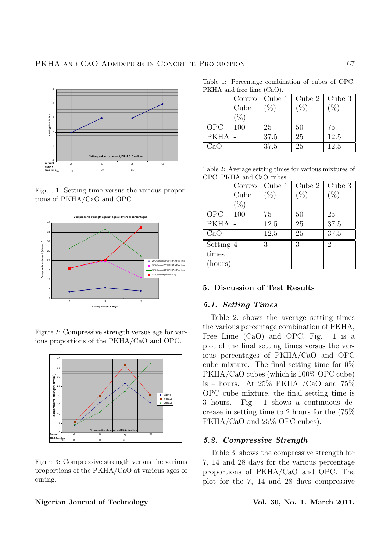

Figure 1: Setting time versus the various proportions of PKHA/CaO and OPC.



Figure 2: Compressive strength versus age for various proportions of the PKHA/CaO and OPC.



Figure 3: Compressive strength versus the various proportions of the PKHA/CaO at various ages of curing.

Table 1: Percentage combination of cubes of OPC, PKHA and free lime (CaO).

|             |      |          | Control Cube $1  $ Cube $2  $ Cube $3  $ |      |
|-------------|------|----------|------------------------------------------|------|
|             | Cube | $( \% )$ |                                          | (0)  |
|             |      |          |                                          |      |
| OPC         | 100  | 25       | 50                                       | 75   |
| <b>PKHA</b> |      | 37.5     | 25                                       | 12.5 |
| CaO         |      | 37.5     | 25                                       | 12.5 |

Table 2: Average setting times for various mixtures of OPC, PKHA and CaO cubes.

|             |      | Controll Cube 1 | Cube 2 | Cube 3         |
|-------------|------|-----------------|--------|----------------|
|             | Cube | $(\%)$          | $(\%)$ | $(\% )$        |
|             | %    |                 |        |                |
| <b>OPC</b>  | 100  | 75              | 50     | 25             |
| <b>PKHA</b> |      | 12.5            | 25     | 37.5           |
| CaO         |      | 12.5            | 25     | 37.5           |
| Setting 4   |      | 3               | 3      | $\overline{2}$ |
| times       |      |                 |        |                |
| (hours)     |      |                 |        |                |

#### 5. Discussion of Test Results

#### 5.1. Setting Times

Table 2, shows the average setting times the various percentage combination of PKHA, Free Lime (CaO) and OPC. Fig. 1 is a plot of the final setting times versus the various percentages of PKHA/CaO and OPC cube mixture. The final setting time for  $0\%$ PKHA/CaO cubes (which is 100% OPC cube) is 4 hours. At 25% PKHA /CaO and 75% OPC cube mixture, the final setting time is 3 hours. Fig. 1 shows a continuous decrease in setting time to 2 hours for the (75% PKHA/CaO and 25% OPC cubes).

#### 5.2. Compressive Strength

Table 3, shows the compressive strength for 7, 14 and 28 days for the various percentage proportions of PKHA/CaO and OPC. The plot for the 7, 14 and 28 days compressive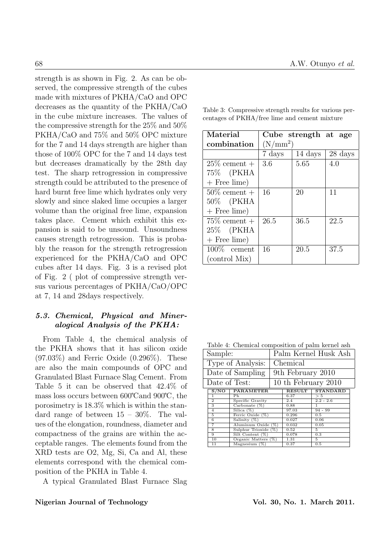strength is as shown in Fig. 2. As can be observed, the compressive strength of the cubes made with mixtures of PKHA/CaO and OPC decreases as the quantity of the PKHA/CaO in the cube mixture increases. The values of the compressive strength for the 25% and 50% PKHA/CaO and 75% and 50% OPC mixture for the 7 and 14 days strength are higher than those of 100% OPC for the 7 and 14 days test but decreases dramatically by the 28th day test. The sharp retrogression in compressive strength could be attributed to the presence of hard burnt free lime which hydrates only very slowly and since slaked lime occupies a larger volume than the original free lime, expansion takes place. Cement which exhibit this expansion is said to be unsound. Unsoundness causes strength retrogression. This is probably the reason for the strength retrogression experienced for the PKHA/CaO and OPC cubes after 14 days. Fig. 3 is a revised plot of Fig. 2 ( plot of compressive strength versus various percentages of PKHA/CaO/OPC at 7, 14 and 28days respectively.

#### 5.3. Chemical, Physical and Mineralogical Analysis of the PKHA:

From Table 4, the chemical analysis of the PKHA shows that it has silicon oxide (97.03%) and Ferric Oxide (0.296%). These are also the main compounds of OPC and Granulated Blast Furnace Slag Cement. From Table 5 it can be observed that 42.4% of mass loss occurs between  $600^{\circ}$ C and  $900^{\circ}$ C, the porosimetry is 18.3% which is within the standard range of between 15 – 30%. The values of the elongation, roundness, diameter and compactness of the grains are within the acceptable ranges. The elements found from the XRD tests are O2, Mg, Si, Ca and Al, these elements correspond with the chemical composition of the PKHA in Table 4.

A typical Granulated Blast Furnace Slag

| Material                   |            | Cube strength at age |         |  |
|----------------------------|------------|----------------------|---------|--|
| combination                | $(N/mm^2)$ |                      |         |  |
|                            | 7 days     | 14 days              | 28 days |  |
| $25\%$ cement +            | 3.6        | 5.65                 | 4.0     |  |
| 75% (PKHA                  |            |                      |         |  |
| $+$ Free lime)             |            |                      |         |  |
| $50\%$ cement +            | 16         | 20                   | 11      |  |
| 50\% (PKHA                 |            |                      |         |  |
| $+$ Free lime)             |            |                      |         |  |
| $\overline{75}\%$ cement + | 26.5       | 36.5                 | 22.5    |  |
| 25% (PKHA                  |            |                      |         |  |
| $+$ Free lime)             |            |                      |         |  |
| $100\%$ cement             | 16         | 20.5                 | 37.5    |  |
| (control Mix)              |            |                      |         |  |

Table 3: Compressive strength results for various percentages of PKHA/free lime and cement mixture

|                                        | Table 4: Chemical composition of palm kernel ash |
|----------------------------------------|--------------------------------------------------|
| Sample:                                | Palm Kernel Husk Ash                             |
| $\mathbf{m}$ $\mathbf{c}$ $\mathbf{r}$ | $\sim$                                           |

| Type of Analysis: |                | Chemical               |  |               |                 |
|-------------------|----------------|------------------------|--|---------------|-----------------|
| Date of Sampling  |                | 9th February 2010      |  |               |                 |
| Date of Test:     |                | 10 th February 2010    |  |               |                 |
|                   | S/NO           | <b>PARAMETER</b>       |  | <b>RESULT</b> | <b>STANDARD</b> |
|                   |                | Рh                     |  | 6.37          | > 5             |
|                   | $\overline{2}$ | Specific Gravity       |  | 2.4           | $2.2 - 2.6$     |
|                   | 3              | Carbonate $(\%)$       |  | 0.88          |                 |
|                   | $\overline{4}$ | Silica $(\%)$          |  | 97.03         | $94 - 99$       |
|                   | 5              | Ferric Oxide (%)       |  | 0.296         | 0.5             |
|                   | 6              | Salinity $(\%)$        |  | 0.027         | 0.06            |
|                   | 7              | Aluminum Oxide (%)     |  | 0.032         | 0.05            |
|                   | 8              | Sulphur Trioxide (%)   |  | 0.52          | $5^{\circ}$     |
|                   | 9              | Silt Content $(\%)$    |  | 0.078         | 0.3             |
|                   | 10             | Organic Matters $(\%)$ |  | 1.31          | 5               |
|                   | 11             | Magnesium $(\%)$       |  | 0.37          | 0.5             |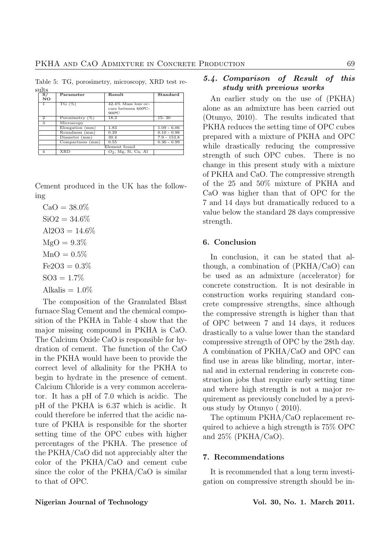Table 5: TG, porosimetry, microscopy, XRD test results

| $\overline{\mathbf{s}}$ / | Parameter          | Result                                                           | Standard      |  |
|---------------------------|--------------------|------------------------------------------------------------------|---------------|--|
| NO.                       |                    |                                                                  |               |  |
| 1                         | TG $(\%)$          | $42.4\%$ Mass loss oc-<br>curs between 600°C-<br>$900^{\circ}$ C |               |  |
| $\mathbf{2}$              | Porosimetry $(\%)$ | 18.3                                                             | $15 - 30$     |  |
| 3                         | Microscopy         |                                                                  |               |  |
|                           | Elongation (mm)    | 1.83                                                             | $1.09 - 6.06$ |  |
|                           | Roundness (mm)     | 0.39                                                             | $0.10 - 0.98$ |  |
|                           | Diameter (mm)      | 30.4                                                             | $7.9 - 153.8$ |  |
|                           | Compactness (mm)   | 0.55                                                             | $0.36 - 0.99$ |  |
|                           | Element found      |                                                                  |               |  |
|                           | <b>XRD</b>         | $O_2$ , Mg, Si, Ca, Al                                           |               |  |

Cement produced in the UK has the following

 $CaO = 38.0\%$  $SiO2 = 34.6%$  $Al2O3 = 14.6\%$  $MgO = 9.3\%$  $MnO = 0.5%$  $Fe2O3 = 0.3\%$  $SOS = 1.7\%$ Alkalis =  $1.0\%$ 

The composition of the Granulated Blast furnace Slag Cement and the chemical composition of the PKHA in Table 4 show that the major missing compound in PKHA is CaO. The Calcium Oxide CaO is responsible for hydration of cement. The function of the CaO in the PKHA would have been to provide the correct level of alkalinity for the PKHA to begin to hydrate in the presence of cement. Calcium Chloride is a very common accelerator. It has a pH of 7.0 which is acidic. The pH of the PKHA is 6.37 which is acidic. It could therefore be inferred that the acidic nature of PKHA is responsible for the shorter setting time of the OPC cubes with higher percentages of the PKHA. The presence of the PKHA/CaO did not appreciably alter the color of the PKHA/CaO and cement cube since the color of the PKHA/CaO is similar to that of OPC.

#### 5.4. Comparison of Result of this study with previous works

An earlier study on the use of (PKHA) alone as an admixture has been carried out (Otunyo, 2010). The results indicated that PKHA reduces the setting time of OPC cubes prepared with a mixture of PKHA and OPC while drastically reducing the compressive strength of such OPC cubes. There is no change in this present study with a mixture of PKHA and CaO. The compressive strength of the 25 and 50% mixture of PKHA and CaO was higher than that of OPC for the 7 and 14 days but dramatically reduced to a value below the standard 28 days compressive strength.

#### 6. Conclusion

In conclusion, it can be stated that although, a combination of (PKHA/CaO) can be used as an admixture (accelerator) for concrete construction. It is not desirable in construction works requiring standard concrete compressive strengths, since although the compressive strength is higher than that of OPC between 7 and 14 days, it reduces drastically to a value lower than the standard compressive strength of OPC by the 28th day. A combination of PKHA/CaO and OPC can find use in areas like blinding, mortar, internal and in external rendering in concrete construction jobs that require early setting time and where high strength is not a major requirement as previously concluded by a previous study by Otunyo ( 2010).

The optimum PKHA/CaO replacement required to achieve a high strength is 75% OPC and  $25\%$  (PKHA/CaO).

#### 7. Recommendations

It is recommended that a long term investigation on compressive strength should be in-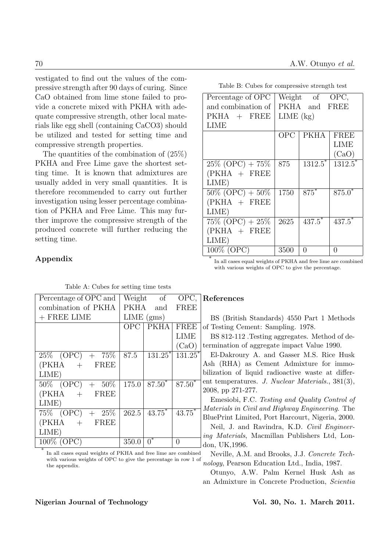vestigated to find out the values of the compressive strength after 90 days of curing. Since CaO obtained from lime stone failed to provide a concrete mixed with PKHA with adequate compressive strength, other local materials like egg shell (containing CaCO3) should be utilized and tested for setting time and compressive strength properties.

The quantities of the combination of (25%) PKHA and Free Lime gave the shortest setting time. It is known that admixtures are usually added in very small quantities. It is therefore recommended to carry out further investigation using lesser percentage combination of PKHA and Free Lime. This may further improve the compressive strength of the produced concrete will further reducing the setting time.

# Appendix

\*

## Percentage of OPC | Weight of OPC,

Table B: Cubes for compressive strength test

| $1$ or $\cos 0$ or $\cos 0$                                        |               | 1101        |                       |  |  |
|--------------------------------------------------------------------|---------------|-------------|-----------------------|--|--|
| and combination of                                                 | PKHA and FREE |             |                       |  |  |
| $PKHA$ + FREE                                                      | $LIME$ $(kg)$ |             |                       |  |  |
| <b>LIME</b>                                                        |               |             |                       |  |  |
|                                                                    | OPC           | <b>PKHA</b> | FREE                  |  |  |
|                                                                    |               |             | LIME                  |  |  |
|                                                                    |               |             | (CaO)                 |  |  |
| $25\%$ (OPC) + 75\%                                                | 875           | $1312.5^*$  | $\overline{1312.5}^*$ |  |  |
| $(PKHA + FREE$                                                     |               |             |                       |  |  |
| LIME)                                                              |               |             |                       |  |  |
| $50\%$ (OPC) + $50\%$                                              | 1750          | $875*$      | $875.0*$              |  |  |
| $(PKHA + FREE$                                                     |               |             |                       |  |  |
| LIME)                                                              |               |             |                       |  |  |
| $75\%$ (OPC) + $25\%$                                              | 2625          | $437.5$ *   | $437.5^*$             |  |  |
| (PKHA + FREE                                                       |               |             |                       |  |  |
| LIME)                                                              |               |             |                       |  |  |
| 100% (OPC)                                                         | 3500          | 0           | 0                     |  |  |
| In all cases causal moinhte of DIZILA and fues lines and campbined |               |             |                       |  |  |

In all cases equal weights of PKHA and free lime are combined with various weights of OPC to give the percentage.

| Percentage of OPC and |       | Weight of                      | OPC,                 |  |
|-----------------------|-------|--------------------------------|----------------------|--|
| combination of PKHA   |       | PKHA and                       | FREE                 |  |
| $+$ FREE LIME         |       | $LIME$ (gms)                   |                      |  |
|                       |       | $\overline{\text{OPC}}$   PKHA | <b>FREE</b>          |  |
|                       |       |                                | <b>LIME</b>          |  |
|                       |       |                                | (CaO)                |  |
| $25\%$ (OPC) + 75\%   | 87.5  | $131.25^*$                     | $131.25^*$           |  |
| $(PKHA + FREE$        |       |                                |                      |  |
| LIME)                 |       |                                |                      |  |
| $50\%$ (OPC) + $50\%$ | 175.0 | $87.50*$                       | $87.50^{*}$          |  |
| $(PKHA + FREE$        |       |                                |                      |  |
| LIME)                 |       |                                |                      |  |
| $75\%$ (OPC) + $25\%$ | 262.5 | $43.75*$                       | $43.\overline{75}^*$ |  |
| $(PKHA + FREE$        |       |                                |                      |  |
| LIME)                 |       |                                |                      |  |
| 100% (OPC)            | 350.0 | 0                              | 0                    |  |

Table A: Cubes for setting time tests

In all cases equal weights of PKHA and free lime are combined with various weights of OPC to give the percentage in row 1 of the appendix.

### References

BS (British Standards) 4550 Part 1 Methods of Testing Cement: Sampling. 1978.

BS 812-112 .Testing aggregates. Method of determination of aggregate impact Value 1990.

El-Dakroury A. and Gasser M.S. Rice Husk Ash (RHA) as Cement Admixture for immobilization of liquid radioactive waste at different temperatures. J. Nuclear Materials., 381(3), 2008, pp 271-277.

Emesiobi, F.C. Testing and Quality Control of Materials in Civil and Highway Engineering. The BluePrint Limited, Port Harcourt, Nigeria, 2000.

Neil, J. and Ravindra, K.D. Civil Engineering Materials, Macmillan Publishers Ltd, London, UK,1996.

Neville, A.M. and Brooks, J.J. Concrete Technology, Pearson Education Ltd., India, 1987.

Otunyo, A.W. Palm Kernel Husk Ash as an Admixture in Concrete Production, Scientia